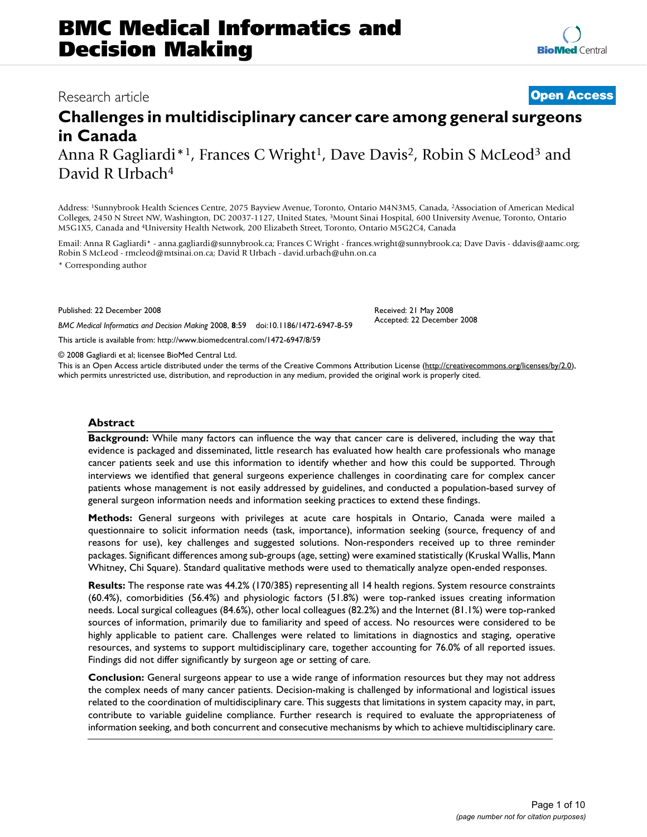# **BMC Medical Informatics and Decision Making**

Research article **[Open Access](http://www.biomedcentral.com/info/about/charter/)**

# **Challenges in multidisciplinary cancer care among general surgeons in Canada**

Anna R Gagliardi\*<sup>1</sup>, Frances C Wright<sup>1</sup>, Dave Davis<sup>2</sup>, Robin S McLeod<sup>3</sup> and David R Urbach4

Address: 1Sunnybrook Health Sciences Centre, 2075 Bayview Avenue, Toronto, Ontario M4N3M5, Canada, 2Association of American Medical Colleges, 2450 N Street NW, Washington, DC 20037-1127, United States, 3Mount Sinai Hospital, 600 University Avenue, Toronto, Ontario M5G1X5, Canada and 4University Health Network, 200 Elizabeth Street, Toronto, Ontario M5G2C4, Canada

Email: Anna R Gagliardi\* - anna.gagliardi@sunnybrook.ca; Frances C Wright - frances.wright@sunnybrook.ca; Dave Davis - ddavis@aamc.org; Robin S McLeod - rmcleod@mtsinai.on.ca; David R Urbach - david.urbach@uhn.on.ca

\* Corresponding author

Published: 22 December 2008

*BMC Medical Informatics and Decision Making* 2008, **8**:59 doi:10.1186/1472-6947-8-59

[This article is available from: http://www.biomedcentral.com/1472-6947/8/59](http://www.biomedcentral.com/1472-6947/8/59)

© 2008 Gagliardi et al; licensee BioMed Central Ltd.

This is an Open Access article distributed under the terms of the Creative Commons Attribution License [\(http://creativecommons.org/licenses/by/2.0\)](http://creativecommons.org/licenses/by/2.0), which permits unrestricted use, distribution, and reproduction in any medium, provided the original work is properly cited.

#### **Abstract**

**Background:** While many factors can influence the way that cancer care is delivered, including the way that evidence is packaged and disseminated, little research has evaluated how health care professionals who manage cancer patients seek and use this information to identify whether and how this could be supported. Through interviews we identified that general surgeons experience challenges in coordinating care for complex cancer patients whose management is not easily addressed by guidelines, and conducted a population-based survey of general surgeon information needs and information seeking practices to extend these findings.

**Methods:** General surgeons with privileges at acute care hospitals in Ontario, Canada were mailed a questionnaire to solicit information needs (task, importance), information seeking (source, frequency of and reasons for use), key challenges and suggested solutions. Non-responders received up to three reminder packages. Significant differences among sub-groups (age, setting) were examined statistically (Kruskal Wallis, Mann Whitney, Chi Square). Standard qualitative methods were used to thematically analyze open-ended responses.

**Results:** The response rate was 44.2% (170/385) representing all 14 health regions. System resource constraints (60.4%), comorbidities (56.4%) and physiologic factors (51.8%) were top-ranked issues creating information needs. Local surgical colleagues (84.6%), other local colleagues (82.2%) and the Internet (81.1%) were top-ranked sources of information, primarily due to familiarity and speed of access. No resources were considered to be highly applicable to patient care. Challenges were related to limitations in diagnostics and staging, operative resources, and systems to support multidisciplinary care, together accounting for 76.0% of all reported issues. Findings did not differ significantly by surgeon age or setting of care.

**Conclusion:** General surgeons appear to use a wide range of information resources but they may not address the complex needs of many cancer patients. Decision-making is challenged by informational and logistical issues related to the coordination of multidisciplinary care. This suggests that limitations in system capacity may, in part, contribute to variable guideline compliance. Further research is required to evaluate the appropriateness of information seeking, and both concurrent and consecutive mechanisms by which to achieve multidisciplinary care.



Received: 21 May 2008 Accepted: 22 December 2008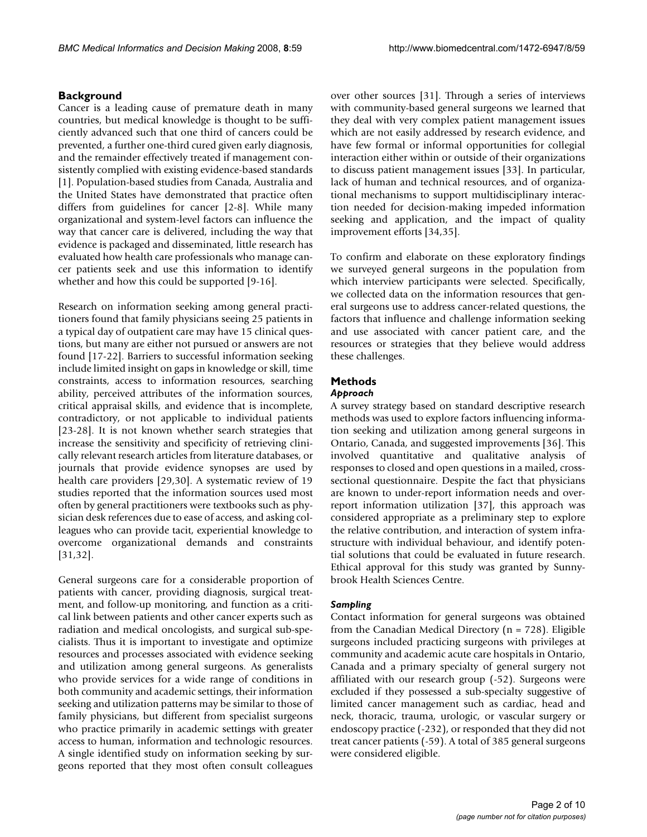# **Background**

Cancer is a leading cause of premature death in many countries, but medical knowledge is thought to be sufficiently advanced such that one third of cancers could be prevented, a further one-third cured given early diagnosis, and the remainder effectively treated if management consistently complied with existing evidence-based standards [1]. Population-based studies from Canada, Australia and the United States have demonstrated that practice often differs from guidelines for cancer [2-8]. While many organizational and system-level factors can influence the way that cancer care is delivered, including the way that evidence is packaged and disseminated, little research has evaluated how health care professionals who manage cancer patients seek and use this information to identify whether and how this could be supported [9-16].

Research on information seeking among general practitioners found that family physicians seeing 25 patients in a typical day of outpatient care may have 15 clinical questions, but many are either not pursued or answers are not found [17-22]. Barriers to successful information seeking include limited insight on gaps in knowledge or skill, time constraints, access to information resources, searching ability, perceived attributes of the information sources, critical appraisal skills, and evidence that is incomplete, contradictory, or not applicable to individual patients [23-28]. It is not known whether search strategies that increase the sensitivity and specificity of retrieving clinically relevant research articles from literature databases, or journals that provide evidence synopses are used by health care providers [29,30]. A systematic review of 19 studies reported that the information sources used most often by general practitioners were textbooks such as physician desk references due to ease of access, and asking colleagues who can provide tacit, experiential knowledge to overcome organizational demands and constraints [31,32].

General surgeons care for a considerable proportion of patients with cancer, providing diagnosis, surgical treatment, and follow-up monitoring, and function as a critical link between patients and other cancer experts such as radiation and medical oncologists, and surgical sub-specialists. Thus it is important to investigate and optimize resources and processes associated with evidence seeking and utilization among general surgeons. As generalists who provide services for a wide range of conditions in both community and academic settings, their information seeking and utilization patterns may be similar to those of family physicians, but different from specialist surgeons who practice primarily in academic settings with greater access to human, information and technologic resources. A single identified study on information seeking by surgeons reported that they most often consult colleagues over other sources [31]. Through a series of interviews with community-based general surgeons we learned that they deal with very complex patient management issues which are not easily addressed by research evidence, and have few formal or informal opportunities for collegial interaction either within or outside of their organizations to discuss patient management issues [33]. In particular, lack of human and technical resources, and of organizational mechanisms to support multidisciplinary interaction needed for decision-making impeded information seeking and application, and the impact of quality improvement efforts [34,35].

To confirm and elaborate on these exploratory findings we surveyed general surgeons in the population from which interview participants were selected. Specifically, we collected data on the information resources that general surgeons use to address cancer-related questions, the factors that influence and challenge information seeking and use associated with cancer patient care, and the resources or strategies that they believe would address these challenges.

# **Methods**

# *Approach*

A survey strategy based on standard descriptive research methods was used to explore factors influencing information seeking and utilization among general surgeons in Ontario, Canada, and suggested improvements [36]. This involved quantitative and qualitative analysis of responses to closed and open questions in a mailed, crosssectional questionnaire. Despite the fact that physicians are known to under-report information needs and overreport information utilization [37], this approach was considered appropriate as a preliminary step to explore the relative contribution, and interaction of system infrastructure with individual behaviour, and identify potential solutions that could be evaluated in future research. Ethical approval for this study was granted by Sunnybrook Health Sciences Centre.

# *Sampling*

Contact information for general surgeons was obtained from the Canadian Medical Directory ( $n = 728$ ). Eligible surgeons included practicing surgeons with privileges at community and academic acute care hospitals in Ontario, Canada and a primary specialty of general surgery not affiliated with our research group (-52). Surgeons were excluded if they possessed a sub-specialty suggestive of limited cancer management such as cardiac, head and neck, thoracic, trauma, urologic, or vascular surgery or endoscopy practice (-232), or responded that they did not treat cancer patients (-59). A total of 385 general surgeons were considered eligible.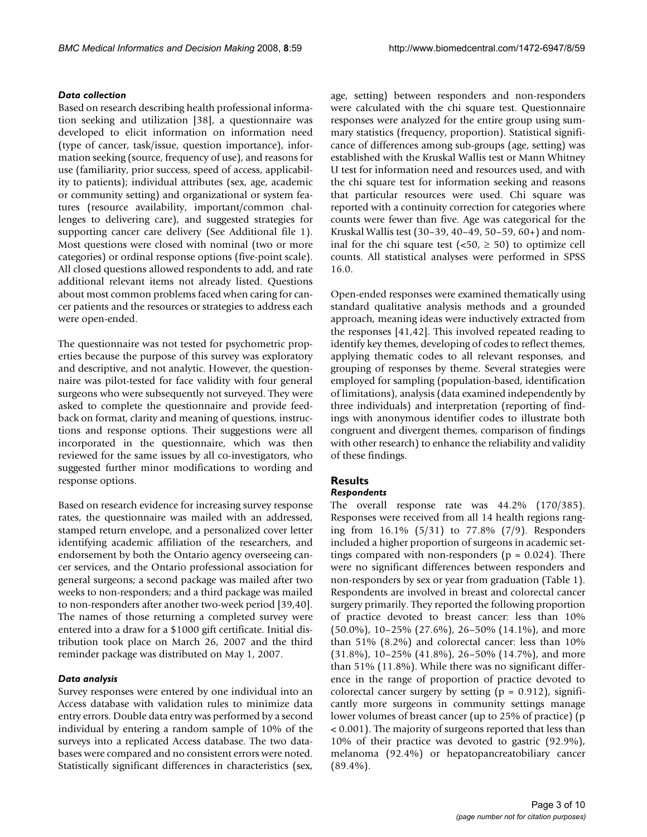### *Data collection*

Based on research describing health professional information seeking and utilization [38], a questionnaire was developed to elicit information on information need (type of cancer, task/issue, question importance), information seeking (source, frequency of use), and reasons for use (familiarity, prior success, speed of access, applicability to patients); individual attributes (sex, age, academic or community setting) and organizational or system features (resource availability, important/common challenges to delivering care), and suggested strategies for supporting cancer care delivery (See Additional file 1). Most questions were closed with nominal (two or more categories) or ordinal response options (five-point scale). All closed questions allowed respondents to add, and rate additional relevant items not already listed. Questions about most common problems faced when caring for cancer patients and the resources or strategies to address each were open-ended.

The questionnaire was not tested for psychometric properties because the purpose of this survey was exploratory and descriptive, and not analytic. However, the questionnaire was pilot-tested for face validity with four general surgeons who were subsequently not surveyed. They were asked to complete the questionnaire and provide feedback on format, clarity and meaning of questions, instructions and response options. Their suggestions were all incorporated in the questionnaire, which was then reviewed for the same issues by all co-investigators, who suggested further minor modifications to wording and response options.

Based on research evidence for increasing survey response rates, the questionnaire was mailed with an addressed, stamped return envelope, and a personalized cover letter identifying academic affiliation of the researchers, and endorsement by both the Ontario agency overseeing cancer services, and the Ontario professional association for general surgeons; a second package was mailed after two weeks to non-responders; and a third package was mailed to non-responders after another two-week period [39,40]. The names of those returning a completed survey were entered into a draw for a \$1000 gift certificate. Initial distribution took place on March 26, 2007 and the third reminder package was distributed on May 1, 2007.

#### *Data analysis*

Survey responses were entered by one individual into an Access database with validation rules to minimize data entry errors. Double data entry was performed by a second individual by entering a random sample of 10% of the surveys into a replicated Access database. The two databases were compared and no consistent errors were noted. Statistically significant differences in characteristics (sex, age, setting) between responders and non-responders were calculated with the chi square test. Questionnaire responses were analyzed for the entire group using summary statistics (frequency, proportion). Statistical significance of differences among sub-groups (age, setting) was established with the Kruskal Wallis test or Mann Whitney U test for information need and resources used, and with the chi square test for information seeking and reasons that particular resources were used. Chi square was reported with a continuity correction for categories where counts were fewer than five. Age was categorical for the Kruskal Wallis test (30–39, 40–49, 50–59, 60+) and nominal for the chi square test ( $\langle 50, \geq 50 \rangle$  to optimize cell counts. All statistical analyses were performed in SPSS 16.0.

Open-ended responses were examined thematically using standard qualitative analysis methods and a grounded approach, meaning ideas were inductively extracted from the responses [41,42]. This involved repeated reading to identify key themes, developing of codes to reflect themes, applying thematic codes to all relevant responses, and grouping of responses by theme. Several strategies were employed for sampling (population-based, identification of limitations), analysis (data examined independently by three individuals) and interpretation (reporting of findings with anonymous identifier codes to illustrate both congruent and divergent themes, comparison of findings with other research) to enhance the reliability and validity of these findings.

# **Results**

# *Respondents*

The overall response rate was 44.2% (170/385). Responses were received from all 14 health regions ranging from 16.1% (5/31) to 77.8% (7/9). Responders included a higher proportion of surgeons in academic settings compared with non-responders ( $p = 0.024$ ). There were no significant differences between responders and non-responders by sex or year from graduation (Table 1). Respondents are involved in breast and colorectal cancer surgery primarily. They reported the following proportion of practice devoted to breast cancer: less than 10% (50.0%), 10–25% (27.6%), 26–50% (14.1%), and more than 51% (8.2%) and colorectal cancer: less than 10% (31.8%), 10–25% (41.8%), 26–50% (14.7%), and more than 51% (11.8%). While there was no significant difference in the range of proportion of practice devoted to colorectal cancer surgery by setting  $(p = 0.912)$ , significantly more surgeons in community settings manage lower volumes of breast cancer (up to 25% of practice) (p < 0.001). The majority of surgeons reported that less than 10% of their practice was devoted to gastric (92.9%), melanoma (92.4%) or hepatopancreatobiliary cancer  $(89.4\%)$ .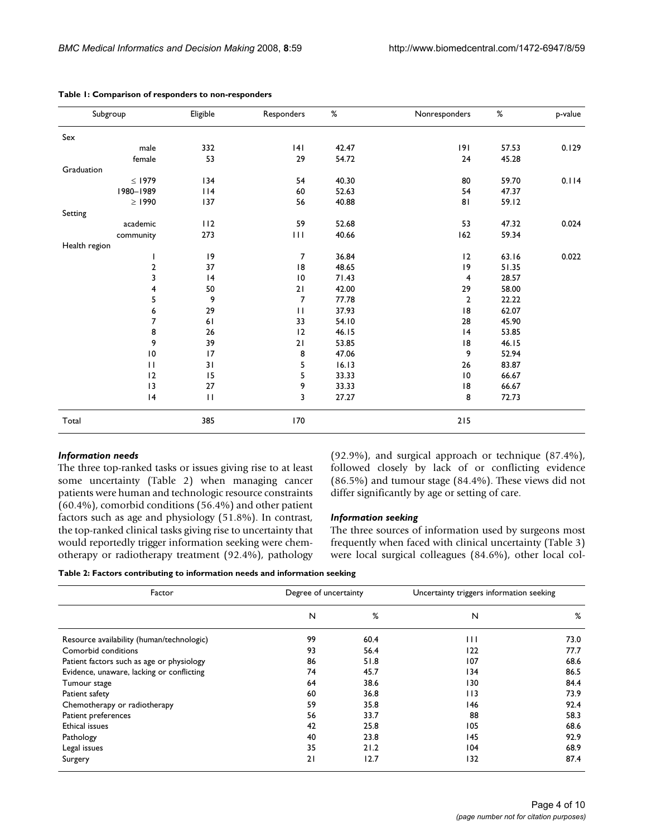| Subgroup       | %<br>Eligible<br>Responders |                 | Nonresponders | %            | p-value |       |
|----------------|-----------------------------|-----------------|---------------|--------------|---------|-------|
| Sex            |                             |                 |               |              |         |       |
| male           | 332                         | 4               | 42.47         | 9            | 57.53   | 0.129 |
| female         | 53                          | 29              | 54.72         | 24           | 45.28   |       |
| Graduation     |                             |                 |               |              |         |       |
| $\leq$ 1979    | 134                         | 54              | 40.30         | 80           | 59.70   | 0.114 |
| 1980-1989      | 114                         | 60              | 52.63         | 54           | 47.37   |       |
| $\geq$ 1990    | 137                         | 56              | 40.88         | 81           | 59.12   |       |
| Setting        |                             |                 |               |              |         |       |
| academic       | 112                         | 59              | 52.68         | 53           | 47.32   | 0.024 |
| community      | 273                         | $\mathbf{H}$    | 40.66         | 162          | 59.34   |       |
| Health region  |                             |                 |               |              |         |       |
| ı              | 19                          | 7               | 36.84         | 12           | 63.16   | 0.022 |
| $\overline{2}$ | 37                          | 8               | 48.65         | 9            | 51.35   |       |
| 3              | 4                           | $\overline{10}$ | 71.43         | 4            | 28.57   |       |
| 4              | 50                          | 21              | 42.00         | 29           | 58.00   |       |
| 5              | 9                           | 7               | 77.78         | $\mathbf{2}$ | 22.22   |       |
| 6              | 29                          | $\mathbf{H}$    | 37.93         | 8            | 62.07   |       |
| 7              | 61                          | 33              | 54.10         | 28           | 45.90   |       |
| 8              | 26                          | 12              | 46.15         | 4            | 53.85   |       |
| 9              | 39                          | 21              | 53.85         | 8            | 46.15   |       |
| 10             | 17                          | 8               | 47.06         | 9            | 52.94   |       |
| $\mathbf{H}$   | 31                          | 5               | 16.13         | 26           | 83.87   |       |
| 12             | 15                          | 5               | 33.33         | 0            | 66.67   |       |
| 13             | 27                          | 9               | 33.33         | 8            | 66.67   |       |
| 4              | $\mathbf{H}$                | 3               | 27.27         | 8            | 72.73   |       |
| Total          | 385                         | 170             |               | 215          |         |       |

|  |  | Table 1: Comparison of responders to non-responders |
|--|--|-----------------------------------------------------|
|--|--|-----------------------------------------------------|

### *Information needs*

The three top-ranked tasks or issues giving rise to at least some uncertainty (Table 2) when managing cancer patients were human and technologic resource constraints (60.4%), comorbid conditions (56.4%) and other patient factors such as age and physiology (51.8%). In contrast, the top-ranked clinical tasks giving rise to uncertainty that would reportedly trigger information seeking were chemotherapy or radiotherapy treatment (92.4%), pathology (92.9%), and surgical approach or technique (87.4%), followed closely by lack of or conflicting evidence (86.5%) and tumour stage (84.4%). These views did not differ significantly by age or setting of care.

#### *Information seeking*

The three sources of information used by surgeons most frequently when faced with clinical uncertainty (Table 3) were local surgical colleagues (84.6%), other local col-

|  |  | Table 2: Factors contributing to information needs and information seeking |  |  |  |  |
|--|--|----------------------------------------------------------------------------|--|--|--|--|
|--|--|----------------------------------------------------------------------------|--|--|--|--|

| Factor                                    | Degree of uncertainty<br>Uncertainty triggers information seeking |      |         |      |
|-------------------------------------------|-------------------------------------------------------------------|------|---------|------|
|                                           | N                                                                 | %    | N       | %    |
| Resource availability (human/technologic) | 99                                                                | 60.4 | $\perp$ | 73.0 |
| Comorbid conditions                       | 93                                                                | 56.4 | 122     | 77.7 |
| Patient factors such as age or physiology | 86                                                                | 51.8 | 107     | 68.6 |
| Evidence, unaware, lacking or conflicting | 74                                                                | 45.7 | 134     | 86.5 |
| Tumour stage                              | 64                                                                | 38.6 | 130     | 84.4 |
| Patient safety                            | 60                                                                | 36.8 | 113     | 73.9 |
| Chemotherapy or radiotherapy              | 59                                                                | 35.8 | 146     | 92.4 |
| Patient preferences                       | 56                                                                | 33.7 | 88      | 58.3 |
| <b>Ethical issues</b>                     | 42                                                                | 25.8 | 105     | 68.6 |
| Pathology                                 | 40                                                                | 23.8 | 145     | 92.9 |
| Legal issues                              | 35                                                                | 21.2 | 104     | 68.9 |
| Surgery                                   | 21                                                                | 12.7 | 132     | 87.4 |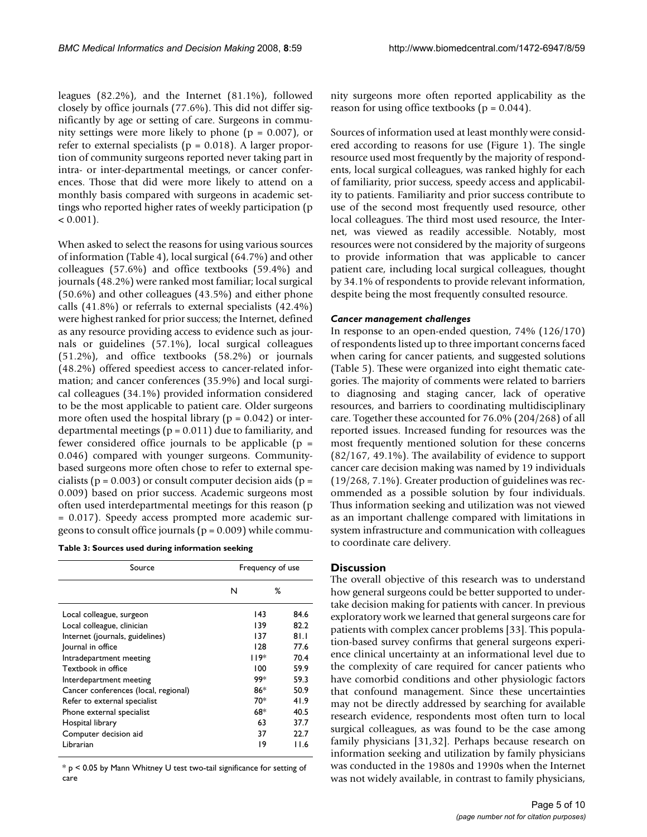leagues (82.2%), and the Internet (81.1%), followed closely by office journals (77.6%). This did not differ significantly by age or setting of care. Surgeons in community settings were more likely to phone (p = 0.007), or refer to external specialists ( $p = 0.018$ ). A larger proportion of community surgeons reported never taking part in intra- or inter-departmental meetings, or cancer conferences. Those that did were more likely to attend on a monthly basis compared with surgeons in academic settings who reported higher rates of weekly participation (p  $< 0.001$ ).

When asked to select the reasons for using various sources of information (Table 4), local surgical (64.7%) and other colleagues (57.6%) and office textbooks (59.4%) and journals (48.2%) were ranked most familiar; local surgical (50.6%) and other colleagues (43.5%) and either phone calls (41.8%) or referrals to external specialists (42.4%) were highest ranked for prior success; the Internet, defined as any resource providing access to evidence such as journals or guidelines (57.1%), local surgical colleagues (51.2%), and office textbooks (58.2%) or journals (48.2%) offered speediest access to cancer-related information; and cancer conferences (35.9%) and local surgical colleagues (34.1%) provided information considered to be the most applicable to patient care. Older surgeons more often used the hospital library ( $p = 0.042$ ) or interdepartmental meetings ( $p = 0.011$ ) due to familiarity, and fewer considered office journals to be applicable ( $p =$ 0.046) compared with younger surgeons. Communitybased surgeons more often chose to refer to external specialists ( $p = 0.003$ ) or consult computer decision aids ( $p =$ 0.009) based on prior success. Academic surgeons most often used interdepartmental meetings for this reason (p = 0.017). Speedy access prompted more academic surgeons to consult office journals ( $p = 0.009$ ) while commu-

**Table 3: Sources used during information seeking**

| Source                               | Frequency of use |      |      |
|--------------------------------------|------------------|------|------|
|                                      | N                | ℅    |      |
| Local colleague, surgeon             |                  | 143  | 84.6 |
| Local colleague, clinician           |                  | 139  | 82.2 |
| Internet (journals, guidelines)      |                  | 137  | 81.1 |
| Journal in office                    |                  | 128  | 77.6 |
| Intradepartment meeting              |                  | 119* | 70.4 |
| Textbook in office                   |                  | 100  | 59.9 |
| Interdepartment meeting              |                  | 99*  | 59.3 |
| Cancer conferences (local, regional) |                  | 86*  | 50.9 |
| Refer to external specialist         |                  | 70*  | 41.9 |
| Phone external specialist            |                  | 68*  | 40.5 |
| Hospital library                     |                  | 63   | 37.7 |
| Computer decision aid                |                  | 37   | 22.7 |
| l ibrarian                           |                  | 19   | 11.6 |

\* p < 0.05 by Mann Whitney U test two-tail significance for setting of care

nity surgeons more often reported applicability as the reason for using office textbooks ( $p = 0.044$ ).

Sources of information used at least monthly were considered according to reasons for use (Figure 1). The single resource used most frequently by the majority of respondents, local surgical colleagues, was ranked highly for each of familiarity, prior success, speedy access and applicability to patients. Familiarity and prior success contribute to use of the second most frequently used resource, other local colleagues. The third most used resource, the Internet, was viewed as readily accessible. Notably, most resources were not considered by the majority of surgeons to provide information that was applicable to cancer patient care, including local surgical colleagues, thought by 34.1% of respondents to provide relevant information, despite being the most frequently consulted resource.

#### *Cancer management challenges*

In response to an open-ended question, 74% (126/170) of respondents listed up to three important concerns faced when caring for cancer patients, and suggested solutions (Table 5). These were organized into eight thematic categories. The majority of comments were related to barriers to diagnosing and staging cancer, lack of operative resources, and barriers to coordinating multidisciplinary care. Together these accounted for 76.0% (204/268) of all reported issues. Increased funding for resources was the most frequently mentioned solution for these concerns (82/167, 49.1%). The availability of evidence to support cancer care decision making was named by 19 individuals (19/268, 7.1%). Greater production of guidelines was recommended as a possible solution by four individuals. Thus information seeking and utilization was not viewed as an important challenge compared with limitations in system infrastructure and communication with colleagues to coordinate care delivery.

#### **Discussion**

The overall objective of this research was to understand how general surgeons could be better supported to undertake decision making for patients with cancer. In previous exploratory work we learned that general surgeons care for patients with complex cancer problems [33]. This population-based survey confirms that general surgeons experience clinical uncertainty at an informational level due to the complexity of care required for cancer patients who have comorbid conditions and other physiologic factors that confound management. Since these uncertainties may not be directly addressed by searching for available research evidence, respondents most often turn to local surgical colleagues, as was found to be the case among family physicians [31,32]. Perhaps because research on information seeking and utilization by family physicians was conducted in the 1980s and 1990s when the Internet was not widely available, in contrast to family physicians,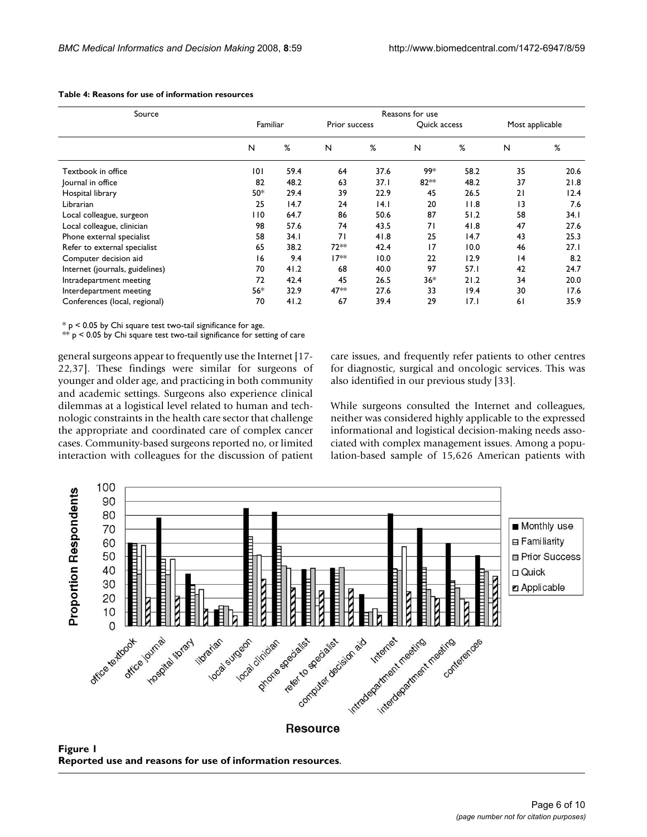| Source                          |          | Reasons for use |               |      |              |      |                 |      |
|---------------------------------|----------|-----------------|---------------|------|--------------|------|-----------------|------|
|                                 | Familiar |                 | Prior success |      | Quick access |      | Most applicable |      |
|                                 | N        | %               | N             | %    | N            | %    | N               | %    |
| Textbook in office              | 101      | 59.4            | 64            | 37.6 | 99*          | 58.2 | 35              | 20.6 |
| Journal in office               | 82       | 48.2            | 63            | 37.1 | 82**         | 48.2 | 37              | 21.8 |
| Hospital library                | $50*$    | 29.4            | 39            | 22.9 | 45           | 26.5 | 21              | 12.4 |
| Librarian                       | 25       | 14.7            | 24            | 4.1  | 20           | 11.8 | $\overline{13}$ | 7.6  |
| Local colleague, surgeon        | 110      | 64.7            | 86            | 50.6 | 87           | 51.2 | 58              | 34.1 |
| Local colleague, clinician      | 98       | 57.6            | 74            | 43.5 | 71           | 41.8 | 47              | 27.6 |
| Phone external specialist       | 58       | 34.1            | 71            | 41.8 | 25           | 14.7 | 43              | 25.3 |
| Refer to external specialist    | 65       | 38.2            | 72**          | 42.4 | 17           | 10.0 | 46              | 27.1 |
| Computer decision aid           | 16       | 9.4             | 17**          | 10.0 | 22           | 12.9 | 4               | 8.2  |
| Internet (journals, guidelines) | 70       | 41.2            | 68            | 40.0 | 97           | 57.I | 42              | 24.7 |
| Intradepartment meeting         | 72       | 42.4            | 45            | 26.5 | $36*$        | 21.2 | 34              | 20.0 |
| Interdepartment meeting         | $56*$    | 32.9            | 47**          | 27.6 | 33           | 19.4 | 30              | 17.6 |
| Conferences (local, regional)   | 70       | 41.2            | 67            | 39.4 | 29           | 17.1 | 61              | 35.9 |

#### **Table 4: Reasons for use of information resources**

 $*$  p < 0.05 by Chi square test two-tail significance for age.

 $*$  p < 0.05 by Chi square test two-tail significance for setting of care

general surgeons appear to frequently use the Internet [17- 22,37]. These findings were similar for surgeons of younger and older age, and practicing in both community and academic settings. Surgeons also experience clinical dilemmas at a logistical level related to human and technologic constraints in the health care sector that challenge the appropriate and coordinated care of complex cancer cases. Community-based surgeons reported no, or limited interaction with colleagues for the discussion of patient care issues, and frequently refer patients to other centres for diagnostic, surgical and oncologic services. This was also identified in our previous study [33].

While surgeons consulted the Internet and colleagues, neither was considered highly applicable to the expressed informational and logistical decision-making needs associated with complex management issues. Among a population-based sample of 15,626 American patients with



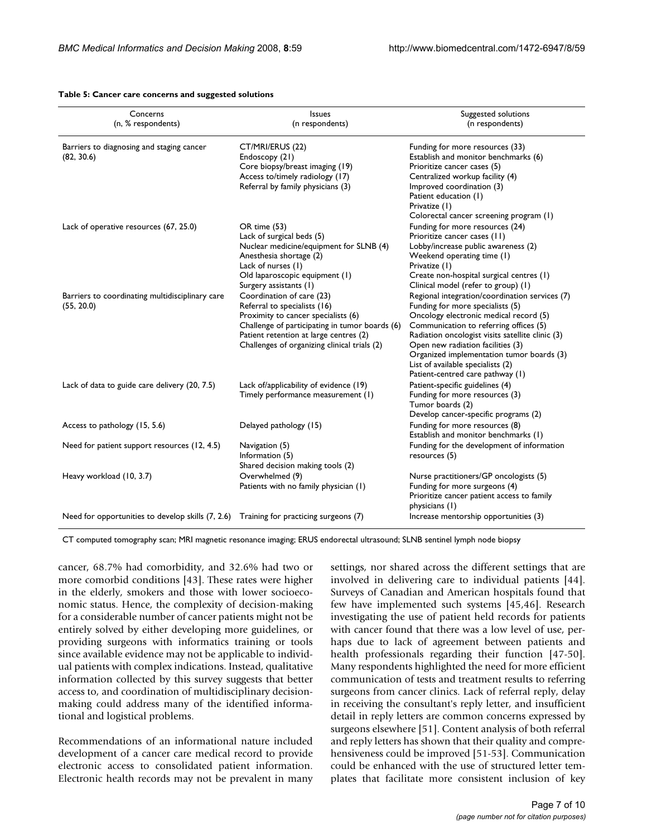| Concerns                                                                               | <b>Issues</b>                                                                                                                                                                                                                                | Suggested solutions                                                                                                                                                                                                                                                                                                                                                                   |  |  |
|----------------------------------------------------------------------------------------|----------------------------------------------------------------------------------------------------------------------------------------------------------------------------------------------------------------------------------------------|---------------------------------------------------------------------------------------------------------------------------------------------------------------------------------------------------------------------------------------------------------------------------------------------------------------------------------------------------------------------------------------|--|--|
| (n, % respondents)                                                                     | (n respondents)                                                                                                                                                                                                                              | (n respondents)                                                                                                                                                                                                                                                                                                                                                                       |  |  |
| Barriers to diagnosing and staging cancer<br>(82, 30.6)                                | CT/MRI/ERUS (22)<br>Endoscopy (21)<br>Core biopsy/breast imaging (19)<br>Access to/timely radiology (17)<br>Referral by family physicians (3)                                                                                                | Funding for more resources (33)<br>Establish and monitor benchmarks (6)<br>Prioritize cancer cases (5)<br>Centralized workup facility (4)<br>Improved coordination (3)<br>Patient education (1)<br>Privatize (1)<br>Colorectal cancer screening program (1)                                                                                                                           |  |  |
| Lack of operative resources (67, 25.0)                                                 | OR time $(53)$<br>Lack of surgical beds (5)<br>Nuclear medicine/equipment for SLNB (4)<br>Anesthesia shortage (2)<br>Lack of nurses (1)<br>Old laparoscopic equipment (1)<br>Surgery assistants (1)                                          | Funding for more resources (24)<br>Prioritize cancer cases (11)<br>Lobby/increase public awareness (2)<br>Weekend operating time (1)<br>Privatize (1)<br>Create non-hospital surgical centres (1)<br>Clinical model (refer to group) (1)                                                                                                                                              |  |  |
| Barriers to coordinating multidisciplinary care<br>(55, 20.0)                          | Coordination of care (23)<br>Referral to specialists (16)<br>Proximity to cancer specialists (6)<br>Challenge of participating in tumor boards (6)<br>Patient retention at large centres (2)<br>Challenges of organizing clinical trials (2) | Regional integration/coordination services (7)<br>Funding for more specialists (5)<br>Oncology electronic medical record (5)<br>Communication to referring offices (5)<br>Radiation oncologist visits satellite clinic (3)<br>Open new radiation facilities (3)<br>Organized implementation tumor boards (3)<br>List of available specialists (2)<br>Patient-centred care pathway (1) |  |  |
| Lack of data to guide care delivery (20, 7.5)                                          | Lack of/applicability of evidence (19)<br>Timely performance measurement (1)                                                                                                                                                                 | Patient-specific guidelines (4)<br>Funding for more resources (3)<br>Tumor boards (2)<br>Develop cancer-specific programs (2)                                                                                                                                                                                                                                                         |  |  |
| Access to pathology (15, 5.6)                                                          | Delayed pathology (15)                                                                                                                                                                                                                       | Funding for more resources (8)<br>Establish and monitor benchmarks (1)                                                                                                                                                                                                                                                                                                                |  |  |
| Need for patient support resources (12, 4.5)                                           | Navigation (5)<br>Information (5)<br>Shared decision making tools (2)                                                                                                                                                                        | Funding for the development of information<br>resources (5)                                                                                                                                                                                                                                                                                                                           |  |  |
| Heavy workload (10, 3.7)                                                               | Overwhelmed (9)<br>Patients with no family physician (1)                                                                                                                                                                                     | Nurse practitioners/GP oncologists (5)<br>Funding for more surgeons (4)<br>Prioritize cancer patient access to family<br>physicians (1)                                                                                                                                                                                                                                               |  |  |
| Need for opportunities to develop skills (7, 2.6) Training for practicing surgeons (7) |                                                                                                                                                                                                                                              | Increase mentorship opportunities (3)                                                                                                                                                                                                                                                                                                                                                 |  |  |

#### **Table 5: Cancer care concerns and suggested solutions**

CT computed tomography scan; MRI magnetic resonance imaging; ERUS endorectal ultrasound; SLNB sentinel lymph node biopsy

cancer, 68.7% had comorbidity, and 32.6% had two or more comorbid conditions [43]. These rates were higher in the elderly, smokers and those with lower socioeconomic status. Hence, the complexity of decision-making for a considerable number of cancer patients might not be entirely solved by either developing more guidelines, or providing surgeons with informatics training or tools since available evidence may not be applicable to individual patients with complex indications. Instead, qualitative information collected by this survey suggests that better access to, and coordination of multidisciplinary decisionmaking could address many of the identified informational and logistical problems.

Recommendations of an informational nature included development of a cancer care medical record to provide electronic access to consolidated patient information. Electronic health records may not be prevalent in many settings, nor shared across the different settings that are involved in delivering care to individual patients [44]. Surveys of Canadian and American hospitals found that few have implemented such systems [45,46]. Research investigating the use of patient held records for patients with cancer found that there was a low level of use, perhaps due to lack of agreement between patients and health professionals regarding their function [47-50]. Many respondents highlighted the need for more efficient communication of tests and treatment results to referring surgeons from cancer clinics. Lack of referral reply, delay in receiving the consultant's reply letter, and insufficient detail in reply letters are common concerns expressed by surgeons elsewhere [51]. Content analysis of both referral and reply letters has shown that their quality and comprehensiveness could be improved [51-53]. Communication could be enhanced with the use of structured letter templates that facilitate more consistent inclusion of key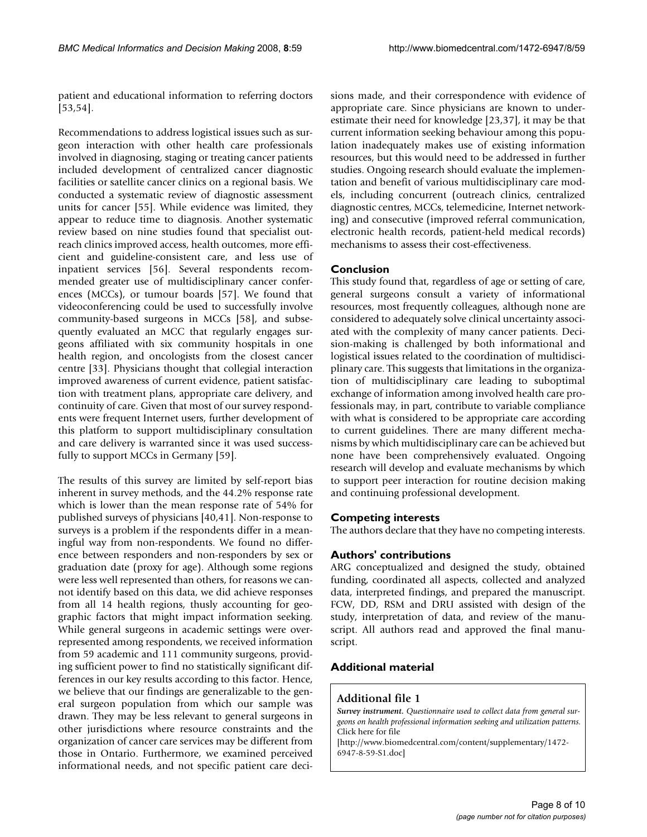patient and educational information to referring doctors [53,54].

Recommendations to address logistical issues such as surgeon interaction with other health care professionals involved in diagnosing, staging or treating cancer patients included development of centralized cancer diagnostic facilities or satellite cancer clinics on a regional basis. We conducted a systematic review of diagnostic assessment units for cancer [55]. While evidence was limited, they appear to reduce time to diagnosis. Another systematic review based on nine studies found that specialist outreach clinics improved access, health outcomes, more efficient and guideline-consistent care, and less use of inpatient services [56]. Several respondents recommended greater use of multidisciplinary cancer conferences (MCCs), or tumour boards [57]. We found that videoconferencing could be used to successfully involve community-based surgeons in MCCs [58], and subsequently evaluated an MCC that regularly engages surgeons affiliated with six community hospitals in one health region, and oncologists from the closest cancer centre [33]. Physicians thought that collegial interaction improved awareness of current evidence, patient satisfaction with treatment plans, appropriate care delivery, and continuity of care. Given that most of our survey respondents were frequent Internet users, further development of this platform to support multidisciplinary consultation and care delivery is warranted since it was used successfully to support MCCs in Germany [59].

The results of this survey are limited by self-report bias inherent in survey methods, and the 44.2% response rate which is lower than the mean response rate of 54% for published surveys of physicians [40,41]. Non-response to surveys is a problem if the respondents differ in a meaningful way from non-respondents. We found no difference between responders and non-responders by sex or graduation date (proxy for age). Although some regions were less well represented than others, for reasons we cannot identify based on this data, we did achieve responses from all 14 health regions, thusly accounting for geographic factors that might impact information seeking. While general surgeons in academic settings were overrepresented among respondents, we received information from 59 academic and 111 community surgeons, providing sufficient power to find no statistically significant differences in our key results according to this factor. Hence, we believe that our findings are generalizable to the general surgeon population from which our sample was drawn. They may be less relevant to general surgeons in other jurisdictions where resource constraints and the organization of cancer care services may be different from those in Ontario. Furthermore, we examined perceived informational needs, and not specific patient care decisions made, and their correspondence with evidence of appropriate care. Since physicians are known to underestimate their need for knowledge [23,37], it may be that current information seeking behaviour among this population inadequately makes use of existing information resources, but this would need to be addressed in further studies. Ongoing research should evaluate the implementation and benefit of various multidisciplinary care models, including concurrent (outreach clinics, centralized diagnostic centres, MCCs, telemedicine, Internet networking) and consecutive (improved referral communication, electronic health records, patient-held medical records) mechanisms to assess their cost-effectiveness.

# **Conclusion**

This study found that, regardless of age or setting of care, general surgeons consult a variety of informational resources, most frequently colleagues, although none are considered to adequately solve clinical uncertainty associated with the complexity of many cancer patients. Decision-making is challenged by both informational and logistical issues related to the coordination of multidisciplinary care. This suggests that limitations in the organization of multidisciplinary care leading to suboptimal exchange of information among involved health care professionals may, in part, contribute to variable compliance with what is considered to be appropriate care according to current guidelines. There are many different mechanisms by which multidisciplinary care can be achieved but none have been comprehensively evaluated. Ongoing research will develop and evaluate mechanisms by which to support peer interaction for routine decision making and continuing professional development.

# **Competing interests**

The authors declare that they have no competing interests.

# **Authors' contributions**

ARG conceptualized and designed the study, obtained funding, coordinated all aspects, collected and analyzed data, interpreted findings, and prepared the manuscript. FCW, DD, RSM and DRU assisted with design of the study, interpretation of data, and review of the manuscript. All authors read and approved the final manuscript.

# **Additional material**

# **Additional file 1**

*Survey instrument. Questionnaire used to collect data from general surgeons on health professional information seeking and utilization patterns.* Click here for file

[\[http://www.biomedcentral.com/content/supplementary/1472-](http://www.biomedcentral.com/content/supplementary/1472-6947-8-59-S1.doc) 6947-8-59-S1.doc]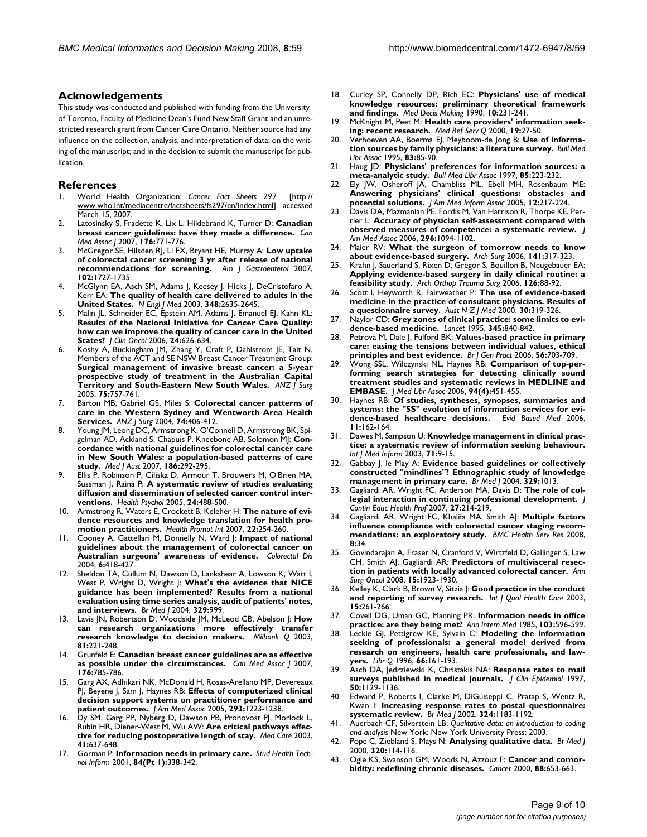#### **Acknowledgements**

This study was conducted and published with funding from the University of Toronto, Faculty of Medicine Dean's Fund New Staff Grant and an unrestricted research grant from Cancer Care Ontario. Neither source had any influence on the collection, analysis, and interpretation of data; on the writing of the manuscript; and in the decision to submit the manuscript for publication.

### **References**

- 1. World Health Organization: *Cancer Fact Sheets 297* [[http://](http://www.who.int/mediacentre/factsheets/fs297/en/index.html) [www.who.int/mediacentre/factsheets/fs297/en/index.html\]](http://www.who.int/mediacentre/factsheets/fs297/en/index.html). accessed March 15, 2007.
- 2. Latosinsky S, Fradette K, Lix L, Hildebrand K, Turner D: **Canadian breast cancer guidelines: have they made a difference.** *Can Med Assoc J* 2007, **176:**771-776.
- 3. McGregor SE, Hilsden RJ, Li FX, Bryant HE, Murray A: **[Low uptake](http://www.ncbi.nlm.nih.gov/entrez/query.fcgi?cmd=Retrieve&db=PubMed&dopt=Abstract&list_uids=17437502) [of colorectal cancer screening 3 yr after release of national](http://www.ncbi.nlm.nih.gov/entrez/query.fcgi?cmd=Retrieve&db=PubMed&dopt=Abstract&list_uids=17437502) [recommendations for screening.](http://www.ncbi.nlm.nih.gov/entrez/query.fcgi?cmd=Retrieve&db=PubMed&dopt=Abstract&list_uids=17437502)** *Am J Gastroenterol* 2007, **102:**1727-1735.
- 4. McGlynn EA, Asch SM, Adams J, Keesey J, Hicks J, DeCristofaro A, Kerr EA: **[The quality of health care delivered to adults in the](http://www.ncbi.nlm.nih.gov/entrez/query.fcgi?cmd=Retrieve&db=PubMed&dopt=Abstract&list_uids=12826639) [United States.](http://www.ncbi.nlm.nih.gov/entrez/query.fcgi?cmd=Retrieve&db=PubMed&dopt=Abstract&list_uids=12826639)** *N Engl J Med* 2003, **348:**2635-2645.
- 5. Malin JL, Schneider EC, Epstein AM, Adams J, Emanuel EJ, Kahn KL: **[Results of the National Initiative for Cancer Care Quality:](http://www.ncbi.nlm.nih.gov/entrez/query.fcgi?cmd=Retrieve&db=PubMed&dopt=Abstract&list_uids=16401682) how can we improve the quality of cancer care in the United [States?](http://www.ncbi.nlm.nih.gov/entrez/query.fcgi?cmd=Retrieve&db=PubMed&dopt=Abstract&list_uids=16401682)** *J Clin Oncol* 2006, **24:**626-634.
- 6. Koshy A, Buckingham JM, Zhang Y, Craft P, Dahlstrom JE, Tait N, Members of the ACT and SE NSW Breast Cancer Treatment Group: **[Surgical management of invasive breast cancer: a 5-year](http://www.ncbi.nlm.nih.gov/entrez/query.fcgi?cmd=Retrieve&db=PubMed&dopt=Abstract&list_uids=16173988) prospective study of treatment in the Australian Capital [Territory and South-Eastern New South Wales.](http://www.ncbi.nlm.nih.gov/entrez/query.fcgi?cmd=Retrieve&db=PubMed&dopt=Abstract&list_uids=16173988)** *ANZ J Surg* 2005, **75:**757-761.
- 7. Barton MB, Gabriel GS, Miles S: **[Colorectal cancer patterns of](http://www.ncbi.nlm.nih.gov/entrez/query.fcgi?cmd=Retrieve&db=PubMed&dopt=Abstract&list_uids=15191469) [care in the Western Sydney and Wentworth Area Health](http://www.ncbi.nlm.nih.gov/entrez/query.fcgi?cmd=Retrieve&db=PubMed&dopt=Abstract&list_uids=15191469) [Services.](http://www.ncbi.nlm.nih.gov/entrez/query.fcgi?cmd=Retrieve&db=PubMed&dopt=Abstract&list_uids=15191469)** *ANZ J Surg* 2004, **74:**406-412.
- 8. Young JM, Leong DC, Armstrong K, O'Connell D, Armstrong BK, Spigelman AD, Ackland S, Chapuis P, Kneebone AB, Solomon MJ: **[Con](http://www.ncbi.nlm.nih.gov/entrez/query.fcgi?cmd=Retrieve&db=PubMed&dopt=Abstract&list_uids=17371209)[cordance with national guidelines for colorectal cancer care](http://www.ncbi.nlm.nih.gov/entrez/query.fcgi?cmd=Retrieve&db=PubMed&dopt=Abstract&list_uids=17371209) in New South Wales: a population-based patterns of care [study.](http://www.ncbi.nlm.nih.gov/entrez/query.fcgi?cmd=Retrieve&db=PubMed&dopt=Abstract&list_uids=17371209)** *Med J Aust* 2007, **186:**292-295.
- 9. Ellis P, Robinson P, Ciliska D, Armour T, Brouwers M, O'Brien MA, Sussman J, Raina P: **[A systematic review of studies evaluating](http://www.ncbi.nlm.nih.gov/entrez/query.fcgi?cmd=Retrieve&db=PubMed&dopt=Abstract&list_uids=16162043) [diffusion and dissemination of selected cancer control inter](http://www.ncbi.nlm.nih.gov/entrez/query.fcgi?cmd=Retrieve&db=PubMed&dopt=Abstract&list_uids=16162043)[ventions.](http://www.ncbi.nlm.nih.gov/entrez/query.fcgi?cmd=Retrieve&db=PubMed&dopt=Abstract&list_uids=16162043)** *Health Psychol* 2005, **24:**488-500.
- 10. Armstrong R, Waters E, Crockett B, Keleher H: **[The nature of evi](http://www.ncbi.nlm.nih.gov/entrez/query.fcgi?cmd=Retrieve&db=PubMed&dopt=Abstract&list_uids=17596543)[dence resources and knowledge translation for health pro](http://www.ncbi.nlm.nih.gov/entrez/query.fcgi?cmd=Retrieve&db=PubMed&dopt=Abstract&list_uids=17596543)[motion practitioners.](http://www.ncbi.nlm.nih.gov/entrez/query.fcgi?cmd=Retrieve&db=PubMed&dopt=Abstract&list_uids=17596543)** *Health Promot Int* 2007, **22:**254-260.
- 11. Cooney A, Gattellari M, Donnelly N, Ward J: **[Impact of national](http://www.ncbi.nlm.nih.gov/entrez/query.fcgi?cmd=Retrieve&db=PubMed&dopt=Abstract&list_uids=15521929) [guidelines about the management of colorectal cancer on](http://www.ncbi.nlm.nih.gov/entrez/query.fcgi?cmd=Retrieve&db=PubMed&dopt=Abstract&list_uids=15521929) [Australian surgeons' awareness of evidence.](http://www.ncbi.nlm.nih.gov/entrez/query.fcgi?cmd=Retrieve&db=PubMed&dopt=Abstract&list_uids=15521929)** *Colorectal Dis* 2004, **6:**418-427.
- 12. Sheldon TA, Cullum N, Dawson D, Lankshear A, Lowson K, Watt I, West P, Wright D, Wright J: **[What's the evidence that NICE](http://www.ncbi.nlm.nih.gov/entrez/query.fcgi?cmd=Retrieve&db=PubMed&dopt=Abstract&list_uids=15514342) [guidance has been implemented? Results from a national](http://www.ncbi.nlm.nih.gov/entrez/query.fcgi?cmd=Retrieve&db=PubMed&dopt=Abstract&list_uids=15514342) evaluation using time series analysis, audit of patients' notes, [and interviews.](http://www.ncbi.nlm.nih.gov/entrez/query.fcgi?cmd=Retrieve&db=PubMed&dopt=Abstract&list_uids=15514342)** *Br Med J* 2004, **329:**999.
- 13. Lavis JN, Robertson D, Woodside JM, McLeod CB, Abelson J: **[How](http://www.ncbi.nlm.nih.gov/entrez/query.fcgi?cmd=Retrieve&db=PubMed&dopt=Abstract&list_uids=12841049) [can research organizations more effectively transfer](http://www.ncbi.nlm.nih.gov/entrez/query.fcgi?cmd=Retrieve&db=PubMed&dopt=Abstract&list_uids=12841049) [research knowledge to decision makers.](http://www.ncbi.nlm.nih.gov/entrez/query.fcgi?cmd=Retrieve&db=PubMed&dopt=Abstract&list_uids=12841049)** *Milbank Q* 2003, **81:**221-248.
- 14. Grunfeld E: **[Canadian breast cancer guidelines are as effective](http://www.ncbi.nlm.nih.gov/entrez/query.fcgi?cmd=Retrieve&db=PubMed&dopt=Abstract&list_uids=17353531) [as possible under the circumstances.](http://www.ncbi.nlm.nih.gov/entrez/query.fcgi?cmd=Retrieve&db=PubMed&dopt=Abstract&list_uids=17353531)** *Can Med Assoc J* 2007, **176:**785-786.
- 15. Garg AX, Adhikari NK, McDonald H, Rosas-Arellano MP, Devereaux PJ, Beyene J, Sam J, Haynes RB: **[Effects of computerized clinical](http://www.ncbi.nlm.nih.gov/entrez/query.fcgi?cmd=Retrieve&db=PubMed&dopt=Abstract&list_uids=15755945) [decision support systems on practitioner performance and](http://www.ncbi.nlm.nih.gov/entrez/query.fcgi?cmd=Retrieve&db=PubMed&dopt=Abstract&list_uids=15755945) [patient outcomes.](http://www.ncbi.nlm.nih.gov/entrez/query.fcgi?cmd=Retrieve&db=PubMed&dopt=Abstract&list_uids=15755945)** *J Am Med Assoc* 2005, **293:**1223-1238.
- 16. Dy SM, Garg PP, Nyberg D, Dawson PB, Pronovost PJ, Morlock L, Rubin HR, Diener-West M, Wu AW: **[Are critical pathways effec](http://www.ncbi.nlm.nih.gov/entrez/query.fcgi?cmd=Retrieve&db=PubMed&dopt=Abstract&list_uids=12719688)[tive for reducing postoperative length of stay.](http://www.ncbi.nlm.nih.gov/entrez/query.fcgi?cmd=Retrieve&db=PubMed&dopt=Abstract&list_uids=12719688)** *Med Care* 2003, **41:**637-648.
- 17. Gorman P: **[Information needs in primary care.](http://www.ncbi.nlm.nih.gov/entrez/query.fcgi?cmd=Retrieve&db=PubMed&dopt=Abstract&list_uids=11604759)** *Stud Health Technol Inform* 2001, **84(Pt 1):**338-342.
- 18. Curley SP, Connelly DP, Rich EC: **[Physicians' use of medical](http://www.ncbi.nlm.nih.gov/entrez/query.fcgi?cmd=Retrieve&db=PubMed&dopt=Abstract&list_uids=2122168) [knowledge resources: preliminary theoretical framework](http://www.ncbi.nlm.nih.gov/entrez/query.fcgi?cmd=Retrieve&db=PubMed&dopt=Abstract&list_uids=2122168) [and findings.](http://www.ncbi.nlm.nih.gov/entrez/query.fcgi?cmd=Retrieve&db=PubMed&dopt=Abstract&list_uids=2122168)** *Med Decis Making* 1990, **10:**231-241.
- 19. McKnight M, Peet M: **[Health care providers' information seek](http://www.ncbi.nlm.nih.gov/entrez/query.fcgi?cmd=Retrieve&db=PubMed&dopt=Abstract&list_uids=11299647)[ing: recent research.](http://www.ncbi.nlm.nih.gov/entrez/query.fcgi?cmd=Retrieve&db=PubMed&dopt=Abstract&list_uids=11299647)** *Med Ref Serv Q* 2000, **19:**27-50.
- 20. Verhoeven AA, Boerma EJ, Meyboom-de Jong B: **[Use of informa](http://www.ncbi.nlm.nih.gov/entrez/query.fcgi?cmd=Retrieve&db=PubMed&dopt=Abstract&list_uids=7703946)[tion sources by family physicians: a literature survey.](http://www.ncbi.nlm.nih.gov/entrez/query.fcgi?cmd=Retrieve&db=PubMed&dopt=Abstract&list_uids=7703946)** *Bull Med Libr Assoc* 1995, **83:**85-90.
- 21. Haug JD: **[Physicians' preferences for information sources: a](http://www.ncbi.nlm.nih.gov/entrez/query.fcgi?cmd=Retrieve&db=PubMed&dopt=Abstract&list_uids=9285121) [meta-analytic study.](http://www.ncbi.nlm.nih.gov/entrez/query.fcgi?cmd=Retrieve&db=PubMed&dopt=Abstract&list_uids=9285121)** *Bull Med Libr Assoc* 1997, **85:**223-232.
- 22. Ely JW, Osheroff JA, Chambliss ML, Ebell MH, Rosenbaum ME: **[Answering physicians' clinical questions: obstacles and](http://www.ncbi.nlm.nih.gov/entrez/query.fcgi?cmd=Retrieve&db=PubMed&dopt=Abstract&list_uids=15561792) [potential solutions.](http://www.ncbi.nlm.nih.gov/entrez/query.fcgi?cmd=Retrieve&db=PubMed&dopt=Abstract&list_uids=15561792)** *J Am Med Inform Assoc* 2005, **12:**217-224.
- 23. Davis DA, Mazmanian PE, Fordis M, Van Harrison R, Thorpe KE, Perrier L: **[Accuracy of physician self-assessment compared with](http://www.ncbi.nlm.nih.gov/entrez/query.fcgi?cmd=Retrieve&db=PubMed&dopt=Abstract&list_uids=16954489) [observed measures of competence: a systematic review.](http://www.ncbi.nlm.nih.gov/entrez/query.fcgi?cmd=Retrieve&db=PubMed&dopt=Abstract&list_uids=16954489)** *J Am Med Assoc* 2006, **296:**1094-1102.
- 24. Maier RV: **[What the surgeon of tomorrow needs to know](http://www.ncbi.nlm.nih.gov/entrez/query.fcgi?cmd=Retrieve&db=PubMed&dopt=Abstract&list_uids=16549701) [about evidence-based surgery.](http://www.ncbi.nlm.nih.gov/entrez/query.fcgi?cmd=Retrieve&db=PubMed&dopt=Abstract&list_uids=16549701)** *Arch Surg* 2006, **141:**317-323.
- 25. Krahn J, Sauerland S, Rixen D, Gregor S, Bouillon B, Neugebauer EA: **[Applying evidence-based surgery in daily clinical routine: a](http://www.ncbi.nlm.nih.gov/entrez/query.fcgi?cmd=Retrieve&db=PubMed&dopt=Abstract&list_uids=16402196) [feasibility study.](http://www.ncbi.nlm.nih.gov/entrez/query.fcgi?cmd=Retrieve&db=PubMed&dopt=Abstract&list_uids=16402196)** *Arch Orthop Trauma Surg* 2006, **126:**88-92.
- 26. Scott I, Heyworth R, Fairweather P: **[The use of evidence-based](http://www.ncbi.nlm.nih.gov/entrez/query.fcgi?cmd=Retrieve&db=PubMed&dopt=Abstract&list_uids=10914748) [medicine in the practice of consultant physicians. Results of](http://www.ncbi.nlm.nih.gov/entrez/query.fcgi?cmd=Retrieve&db=PubMed&dopt=Abstract&list_uids=10914748) [a questionnaire survey.](http://www.ncbi.nlm.nih.gov/entrez/query.fcgi?cmd=Retrieve&db=PubMed&dopt=Abstract&list_uids=10914748)** *Aust N Z J Med* 2000, **30:**319-326.
- Naylor CD: [Grey zones of clinical practice: some limits to evi](http://www.ncbi.nlm.nih.gov/entrez/query.fcgi?cmd=Retrieve&db=PubMed&dopt=Abstract&list_uids=7898234)**[dence-based medicine.](http://www.ncbi.nlm.nih.gov/entrez/query.fcgi?cmd=Retrieve&db=PubMed&dopt=Abstract&list_uids=7898234)** *Lancet* 1995, **345:**840-842.
- 28. Petrova M, Dale J, Fulford BK: **[Values-based practice in primary](http://www.ncbi.nlm.nih.gov/entrez/query.fcgi?cmd=Retrieve&db=PubMed&dopt=Abstract&list_uids=16954004) [care: easing the tensions between individual values, ethical](http://www.ncbi.nlm.nih.gov/entrez/query.fcgi?cmd=Retrieve&db=PubMed&dopt=Abstract&list_uids=16954004) [principles and best evidence.](http://www.ncbi.nlm.nih.gov/entrez/query.fcgi?cmd=Retrieve&db=PubMed&dopt=Abstract&list_uids=16954004)** *Br J Gen Pract* 2006, **56:**703-709.
- Wong SSL, Wilczynski NL, Haynes RB: **[Comparison of top-per](http://www.ncbi.nlm.nih.gov/entrez/query.fcgi?cmd=Retrieve&db=PubMed&dopt=Abstract&list_uids=17082841)[forming search strategies for detecting clinically sound](http://www.ncbi.nlm.nih.gov/entrez/query.fcgi?cmd=Retrieve&db=PubMed&dopt=Abstract&list_uids=17082841) treatment studies and systematic reviews in MEDLINE and [EMBASE.](http://www.ncbi.nlm.nih.gov/entrez/query.fcgi?cmd=Retrieve&db=PubMed&dopt=Abstract&list_uids=17082841)** *J Med Libr Assoc* 2006, **94(4):**451-455.
- 30. Haynes RB: **[Of studies, syntheses, synopses, summaries and](http://www.ncbi.nlm.nih.gov/entrez/query.fcgi?cmd=Retrieve&db=PubMed&dopt=Abstract&list_uids=17213159) [systems: the "5S" evolution of information services for evi](http://www.ncbi.nlm.nih.gov/entrez/query.fcgi?cmd=Retrieve&db=PubMed&dopt=Abstract&list_uids=17213159)[dence-based healthcare decisions.](http://www.ncbi.nlm.nih.gov/entrez/query.fcgi?cmd=Retrieve&db=PubMed&dopt=Abstract&list_uids=17213159)** *Evid Based Med* 2006, **11:**162-164.
- 31. Dawes M, Sampson U: **[Knowledge management in clinical prac](http://www.ncbi.nlm.nih.gov/entrez/query.fcgi?cmd=Retrieve&db=PubMed&dopt=Abstract&list_uids=12909153)[tice: a systematic review of information seeking behaviour.](http://www.ncbi.nlm.nih.gov/entrez/query.fcgi?cmd=Retrieve&db=PubMed&dopt=Abstract&list_uids=12909153)** *Int J Med Inform* 2003, **71:**9-15.
- 32. Gabbay J, le May A: **[Evidence based guidelines or collectively](http://www.ncbi.nlm.nih.gov/entrez/query.fcgi?cmd=Retrieve&db=PubMed&dopt=Abstract&list_uids=15514347) [constructed "mindlines"? Ethnographic study of knowledge](http://www.ncbi.nlm.nih.gov/entrez/query.fcgi?cmd=Retrieve&db=PubMed&dopt=Abstract&list_uids=15514347) [management in primary care.](http://www.ncbi.nlm.nih.gov/entrez/query.fcgi?cmd=Retrieve&db=PubMed&dopt=Abstract&list_uids=15514347)** *Br Med J* 2004, **329:**1013.
- 33. Gagliardi AR, Wright FC, Anderson MA, Davis D: **[The role of col](http://www.ncbi.nlm.nih.gov/entrez/query.fcgi?cmd=Retrieve&db=PubMed&dopt=Abstract&list_uids=18085600)[legial interaction in continuing professional development.](http://www.ncbi.nlm.nih.gov/entrez/query.fcgi?cmd=Retrieve&db=PubMed&dopt=Abstract&list_uids=18085600)** *J Contin Educ Health Prof* 2007, **27:**214-219.
- 34. Gagliardi AR, Wright FC, Khalifa MA, Smith AJ: **[Multiple factors](http://www.ncbi.nlm.nih.gov/entrez/query.fcgi?cmd=Retrieve&db=PubMed&dopt=Abstract&list_uids=18254944) [influence compliance with colorectal cancer staging recom](http://www.ncbi.nlm.nih.gov/entrez/query.fcgi?cmd=Retrieve&db=PubMed&dopt=Abstract&list_uids=18254944)[mendations: an exploratory study.](http://www.ncbi.nlm.nih.gov/entrez/query.fcgi?cmd=Retrieve&db=PubMed&dopt=Abstract&list_uids=18254944)** *BMC Health Serv Res* 2008, **8:**34.
- 35. Govindarajan A, Fraser N, Cranford V, Wirtzfeld D, Gallinger S, Law CH, Smith AJ, Gagliardi AR: **[Predictors of multivisceral resec](http://www.ncbi.nlm.nih.gov/entrez/query.fcgi?cmd=Retrieve&db=PubMed&dopt=Abstract&list_uids=18473145)[tion in patients with locally advanced colorectal cancer.](http://www.ncbi.nlm.nih.gov/entrez/query.fcgi?cmd=Retrieve&db=PubMed&dopt=Abstract&list_uids=18473145)** *Ann Surg Oncol* 2008, **15:**1923-1930.
- 36. Kelley K, Clark B, Brown V, Sitzia J: **[Good practice in the conduct](http://www.ncbi.nlm.nih.gov/entrez/query.fcgi?cmd=Retrieve&db=PubMed&dopt=Abstract&list_uids=12803354) [and reporting of survey research.](http://www.ncbi.nlm.nih.gov/entrez/query.fcgi?cmd=Retrieve&db=PubMed&dopt=Abstract&list_uids=12803354)** *Int J Qual Health Care* 2003, **15:**261-266.
- 37. Covell DG, Uman GC, Manning PR: **[Information needs in office](http://www.ncbi.nlm.nih.gov/entrez/query.fcgi?cmd=Retrieve&db=PubMed&dopt=Abstract&list_uids=4037559) [practice: are they being met?](http://www.ncbi.nlm.nih.gov/entrez/query.fcgi?cmd=Retrieve&db=PubMed&dopt=Abstract&list_uids=4037559)** *Ann Intern Med* 1985, **103:**596-599.
- 38. Leckie GJ, Pettigrew KE, Sylvain C: **Modeling the information seeking of professionals: a general model derived from research on engineers, health care professionals, and lawyers.** *Libr Q* 1996, **66:**161-193.
- 39. Asch DA, Jedrziewski K, Christakis NA: **[Response rates to mail](http://www.ncbi.nlm.nih.gov/entrez/query.fcgi?cmd=Retrieve&db=PubMed&dopt=Abstract&list_uids=9368521) [surveys published in medical journals.](http://www.ncbi.nlm.nih.gov/entrez/query.fcgi?cmd=Retrieve&db=PubMed&dopt=Abstract&list_uids=9368521)** *J Clin Epidemiol* 1997, **50:**1129-1136.
- Edward P, Roberts I, Clarke M, DiGuiseppi C, Pratap S, Wentz R, Kwan I: **Increasing response rates to postal questionnaire: systematic review.** *Br Med J* 2002, **324:**1183-1192.
- 41. Auerbach CF, Silverstein LB: *Qualitative data: an introduction to coding and analysis* New York: New York University Press; 2003.
- 42. Pope C, Ziebland S, Mays N: **[Analysing qualitative data.](http://www.ncbi.nlm.nih.gov/entrez/query.fcgi?cmd=Retrieve&db=PubMed&dopt=Abstract&list_uids=10625273)** *Br Med J* 2000, **320:**114-116.
- 43. Ogle KS, Swanson GM, Woods N, Azzouz F: **[Cancer and comor](http://www.ncbi.nlm.nih.gov/entrez/query.fcgi?cmd=Retrieve&db=PubMed&dopt=Abstract&list_uids=10649261)[bidity: redefining chronic diseases.](http://www.ncbi.nlm.nih.gov/entrez/query.fcgi?cmd=Retrieve&db=PubMed&dopt=Abstract&list_uids=10649261)** *Cancer* 2000, **88:**653-663.